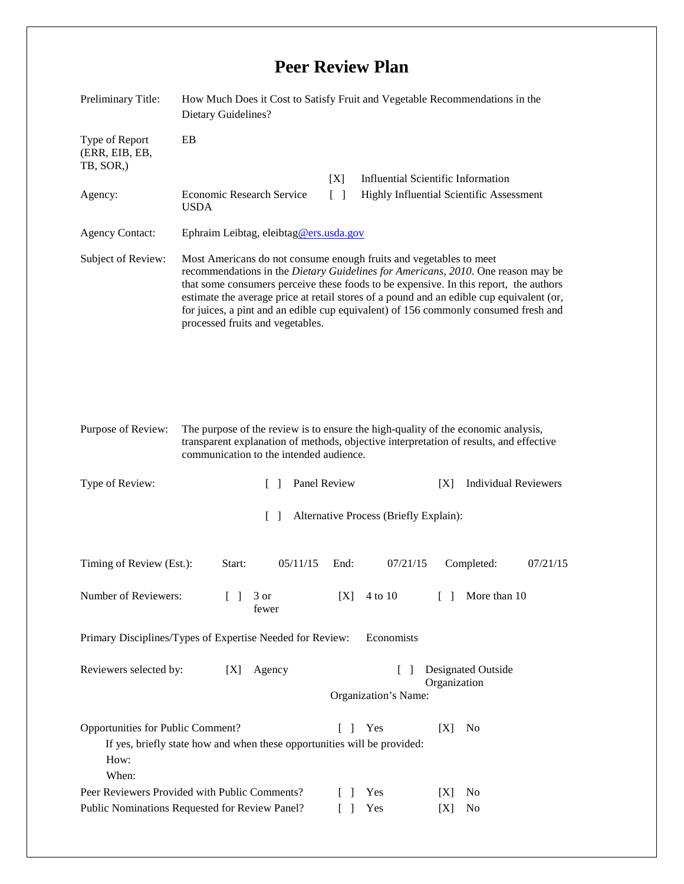## **Peer Review Plan**

| Preliminary Title:                                                                                  | How Much Does it Cost to Satisfy Fruit and Vegetable Recommendations in the<br>Dietary Guidelines?                                                                                                                                                                                                                                                                                                                                                                     |                                                                          |                                                                               |                                           |           |                             |          |
|-----------------------------------------------------------------------------------------------------|------------------------------------------------------------------------------------------------------------------------------------------------------------------------------------------------------------------------------------------------------------------------------------------------------------------------------------------------------------------------------------------------------------------------------------------------------------------------|--------------------------------------------------------------------------|-------------------------------------------------------------------------------|-------------------------------------------|-----------|-----------------------------|----------|
| Type of Report<br>(ERR, EIB, EB,<br>TB, SOR,)                                                       | EB                                                                                                                                                                                                                                                                                                                                                                                                                                                                     |                                                                          |                                                                               |                                           |           |                             |          |
|                                                                                                     |                                                                                                                                                                                                                                                                                                                                                                                                                                                                        |                                                                          | [X]                                                                           | <b>Influential Scientific Information</b> |           |                             |          |
| Agency:                                                                                             | $\lceil \; \rceil$<br><b>Economic Research Service</b><br><b>USDA</b>                                                                                                                                                                                                                                                                                                                                                                                                  |                                                                          |                                                                               | Highly Influential Scientific Assessment  |           |                             |          |
| <b>Agency Contact:</b>                                                                              | Ephraim Leibtag, eleibtag@ers.usda.gov                                                                                                                                                                                                                                                                                                                                                                                                                                 |                                                                          |                                                                               |                                           |           |                             |          |
| Subject of Review:                                                                                  | Most Americans do not consume enough fruits and vegetables to meet<br>recommendations in the Dietary Guidelines for Americans, 2010. One reason may be<br>that some consumers perceive these foods to be expensive. In this report, the authors<br>estimate the average price at retail stores of a pound and an edible cup equivalent (or,<br>for juices, a pint and an edible cup equivalent) of 156 commonly consumed fresh and<br>processed fruits and vegetables. |                                                                          |                                                                               |                                           |           |                             |          |
| Purpose of Review:                                                                                  | The purpose of the review is to ensure the high-quality of the economic analysis,<br>transparent explanation of methods, objective interpretation of results, and effective<br>communication to the intended audience.                                                                                                                                                                                                                                                 |                                                                          |                                                                               |                                           |           |                             |          |
| Type of Review:                                                                                     |                                                                                                                                                                                                                                                                                                                                                                                                                                                                        | Panel Review<br>$\mathcal{L}$<br>[X]                                     |                                                                               |                                           |           | <b>Individual Reviewers</b> |          |
| $\lceil \rceil$<br>Alternative Process (Briefly Explain):                                           |                                                                                                                                                                                                                                                                                                                                                                                                                                                                        |                                                                          |                                                                               |                                           |           |                             |          |
| Timing of Review (Est.):                                                                            | Start:                                                                                                                                                                                                                                                                                                                                                                                                                                                                 | 05/11/15                                                                 | End:                                                                          | 07/21/15                                  |           | Completed:                  | 07/21/15 |
| Number of Reviewers:                                                                                | $\Box$                                                                                                                                                                                                                                                                                                                                                                                                                                                                 | 3 or<br>fewer                                                            | [X]                                                                           | 4 to 10                                   | $\Box$    | More than 10                |          |
| Primary Disciplines/Types of Expertise Needed for Review:<br>Economists                             |                                                                                                                                                                                                                                                                                                                                                                                                                                                                        |                                                                          |                                                                               |                                           |           |                             |          |
| Reviewers selected by:<br>[X]                                                                       |                                                                                                                                                                                                                                                                                                                                                                                                                                                                        | Agency                                                                   | Designated Outside<br>$\lceil \rceil$<br>Organization<br>Organization's Name: |                                           |           |                             |          |
| Opportunities for Public Comment?<br>How:<br>When:<br>Peer Reviewers Provided with Public Comments? |                                                                                                                                                                                                                                                                                                                                                                                                                                                                        | If yes, briefly state how and when these opportunities will be provided: | $\Box$<br>$\Box$                                                              | Yes<br>Yes                                | [X]<br> X | No<br>No                    |          |
| Public Nominations Requested for Review Panel?                                                      |                                                                                                                                                                                                                                                                                                                                                                                                                                                                        |                                                                          |                                                                               | Yes                                       | [X]       | No                          |          |